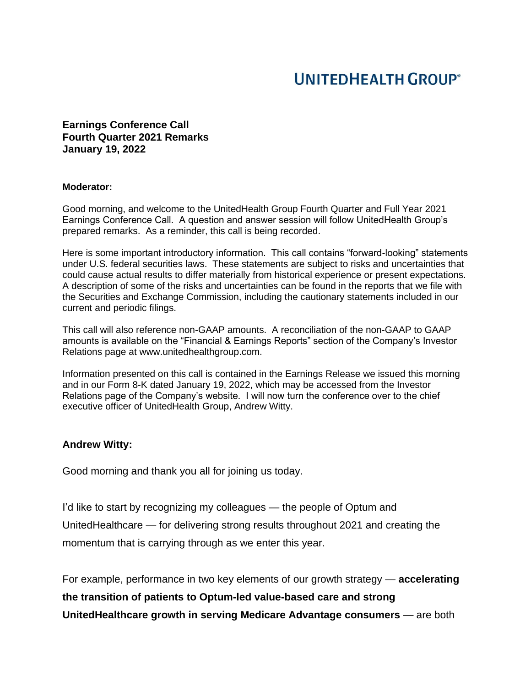# **UNITEDHEALTH GROUP®**

**Earnings Conference Call Fourth Quarter 2021 Remarks January 19, 2022**

#### **Moderator:**

Good morning, and welcome to the UnitedHealth Group Fourth Quarter and Full Year 2021 Earnings Conference Call. A question and answer session will follow UnitedHealth Group's prepared remarks. As a reminder, this call is being recorded.

Here is some important introductory information. This call contains "forward-looking" statements under U.S. federal securities laws. These statements are subject to risks and uncertainties that could cause actual results to differ materially from historical experience or present expectations. A description of some of the risks and uncertainties can be found in the reports that we file with the Securities and Exchange Commission, including the cautionary statements included in our current and periodic filings.

This call will also reference non-GAAP amounts. A reconciliation of the non-GAAP to GAAP amounts is available on the "Financial & Earnings Reports" section of the Company's Investor Relations page at www.unitedhealthgroup.com.

Information presented on this call is contained in the Earnings Release we issued this morning and in our Form 8-K dated January 19, 2022, which may be accessed from the Investor Relations page of the Company's website. I will now turn the conference over to the chief executive officer of UnitedHealth Group, Andrew Witty.

### **Andrew Witty:**

Good morning and thank you all for joining us today.

I'd like to start by recognizing my colleagues — the people of Optum and UnitedHealthcare — for delivering strong results throughout 2021 and creating the momentum that is carrying through as we enter this year.

For example, performance in two key elements of our growth strategy — **accelerating the transition of patients to Optum-led value-based care and strong UnitedHealthcare growth in serving Medicare Advantage consumers** — are both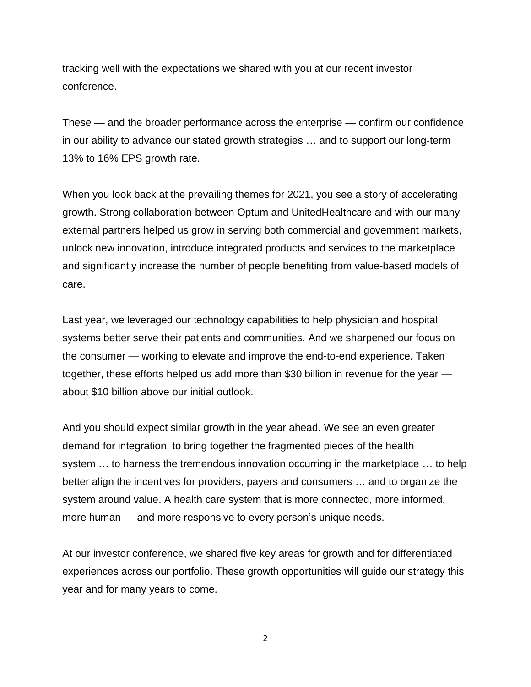tracking well with the expectations we shared with you at our recent investor conference.

These — and the broader performance across the enterprise — confirm our confidence in our ability to advance our stated growth strategies … and to support our long-term 13% to 16% EPS growth rate.

When you look back at the prevailing themes for 2021, you see a story of accelerating growth. Strong collaboration between Optum and UnitedHealthcare and with our many external partners helped us grow in serving both commercial and government markets, unlock new innovation, introduce integrated products and services to the marketplace and significantly increase the number of people benefiting from value-based models of care.

Last year, we leveraged our technology capabilities to help physician and hospital systems better serve their patients and communities. And we sharpened our focus on the consumer — working to elevate and improve the end-to-end experience. Taken together, these efforts helped us add more than \$30 billion in revenue for the year about \$10 billion above our initial outlook.

And you should expect similar growth in the year ahead. We see an even greater demand for integration, to bring together the fragmented pieces of the health system … to harness the tremendous innovation occurring in the marketplace … to help better align the incentives for providers, payers and consumers … and to organize the system around value. A health care system that is more connected, more informed, more human — and more responsive to every person's unique needs.

At our investor conference, we shared five key areas for growth and for differentiated experiences across our portfolio. These growth opportunities will guide our strategy this year and for many years to come.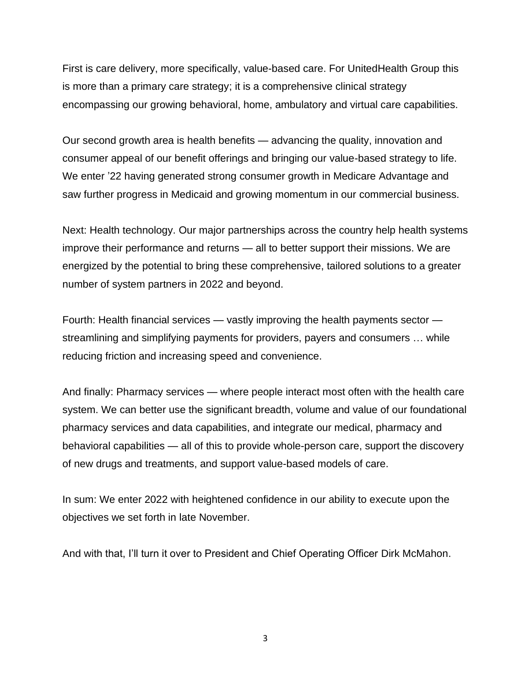First is care delivery, more specifically, value-based care. For UnitedHealth Group this is more than a primary care strategy; it is a comprehensive clinical strategy encompassing our growing behavioral, home, ambulatory and virtual care capabilities.

Our second growth area is health benefits — advancing the quality, innovation and consumer appeal of our benefit offerings and bringing our value-based strategy to life. We enter '22 having generated strong consumer growth in Medicare Advantage and saw further progress in Medicaid and growing momentum in our commercial business.

Next: Health technology. Our major partnerships across the country help health systems improve their performance and returns — all to better support their missions. We are energized by the potential to bring these comprehensive, tailored solutions to a greater number of system partners in 2022 and beyond.

Fourth: Health financial services — vastly improving the health payments sector streamlining and simplifying payments for providers, payers and consumers … while reducing friction and increasing speed and convenience.

And finally: Pharmacy services — where people interact most often with the health care system. We can better use the significant breadth, volume and value of our foundational pharmacy services and data capabilities, and integrate our medical, pharmacy and behavioral capabilities — all of this to provide whole-person care, support the discovery of new drugs and treatments, and support value-based models of care.

In sum: We enter 2022 with heightened confidence in our ability to execute upon the objectives we set forth in late November.

And with that, I'll turn it over to President and Chief Operating Officer Dirk McMahon.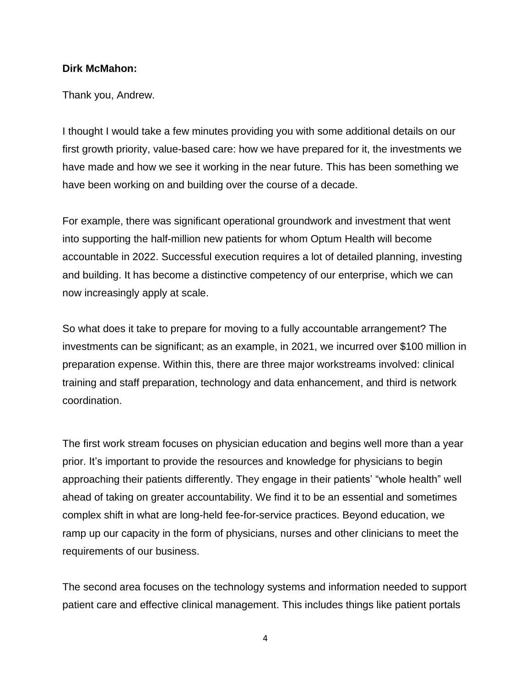## **Dirk McMahon:**

Thank you, Andrew.

I thought I would take a few minutes providing you with some additional details on our first growth priority, value-based care: how we have prepared for it, the investments we have made and how we see it working in the near future. This has been something we have been working on and building over the course of a decade.

For example, there was significant operational groundwork and investment that went into supporting the half-million new patients for whom Optum Health will become accountable in 2022. Successful execution requires a lot of detailed planning, investing and building. It has become a distinctive competency of our enterprise, which we can now increasingly apply at scale.

So what does it take to prepare for moving to a fully accountable arrangement? The investments can be significant; as an example, in 2021, we incurred over \$100 million in preparation expense. Within this, there are three major workstreams involved: clinical training and staff preparation, technology and data enhancement, and third is network coordination.

The first work stream focuses on physician education and begins well more than a year prior. It's important to provide the resources and knowledge for physicians to begin approaching their patients differently. They engage in their patients' "whole health" well ahead of taking on greater accountability. We find it to be an essential and sometimes complex shift in what are long-held fee-for-service practices. Beyond education, we ramp up our capacity in the form of physicians, nurses and other clinicians to meet the requirements of our business.

The second area focuses on the technology systems and information needed to support patient care and effective clinical management. This includes things like patient portals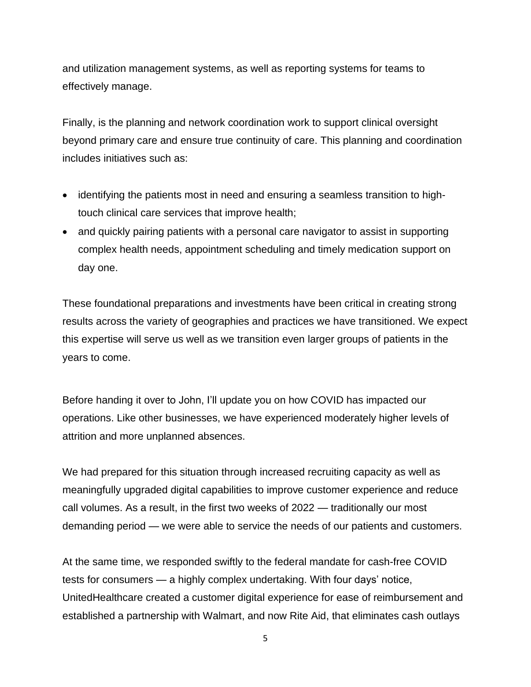and utilization management systems, as well as reporting systems for teams to effectively manage.

Finally, is the planning and network coordination work to support clinical oversight beyond primary care and ensure true continuity of care. This planning and coordination includes initiatives such as:

- identifying the patients most in need and ensuring a seamless transition to hightouch clinical care services that improve health;
- and quickly pairing patients with a personal care navigator to assist in supporting complex health needs, appointment scheduling and timely medication support on day one.

These foundational preparations and investments have been critical in creating strong results across the variety of geographies and practices we have transitioned. We expect this expertise will serve us well as we transition even larger groups of patients in the years to come.

Before handing it over to John, I'll update you on how COVID has impacted our operations. Like other businesses, we have experienced moderately higher levels of attrition and more unplanned absences.

We had prepared for this situation through increased recruiting capacity as well as meaningfully upgraded digital capabilities to improve customer experience and reduce call volumes. As a result, in the first two weeks of 2022 — traditionally our most demanding period — we were able to service the needs of our patients and customers.

At the same time, we responded swiftly to the federal mandate for cash-free COVID tests for consumers — a highly complex undertaking. With four days' notice, UnitedHealthcare created a customer digital experience for ease of reimbursement and established a partnership with Walmart, and now Rite Aid, that eliminates cash outlays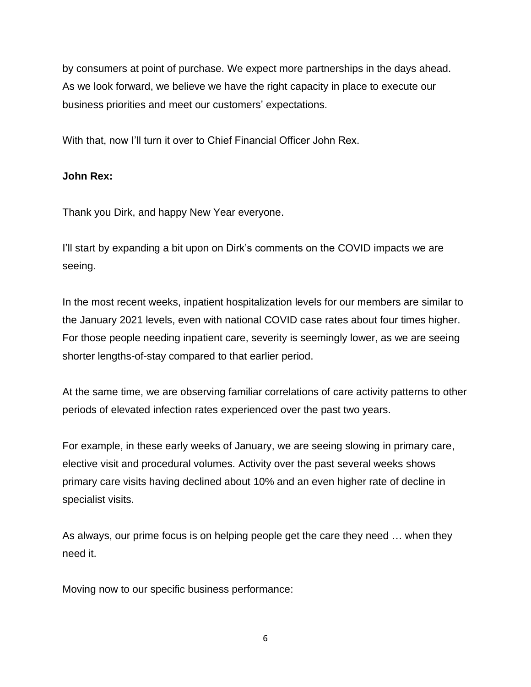by consumers at point of purchase. We expect more partnerships in the days ahead. As we look forward, we believe we have the right capacity in place to execute our business priorities and meet our customers' expectations.

With that, now I'll turn it over to Chief Financial Officer John Rex.

# **John Rex:**

Thank you Dirk, and happy New Year everyone.

I'll start by expanding a bit upon on Dirk's comments on the COVID impacts we are seeing.

In the most recent weeks, inpatient hospitalization levels for our members are similar to the January 2021 levels, even with national COVID case rates about four times higher. For those people needing inpatient care, severity is seemingly lower, as we are seeing shorter lengths-of-stay compared to that earlier period.

At the same time, we are observing familiar correlations of care activity patterns to other periods of elevated infection rates experienced over the past two years.

For example, in these early weeks of January, we are seeing slowing in primary care, elective visit and procedural volumes. Activity over the past several weeks shows primary care visits having declined about 10% and an even higher rate of decline in specialist visits.

As always, our prime focus is on helping people get the care they need … when they need it.

Moving now to our specific business performance: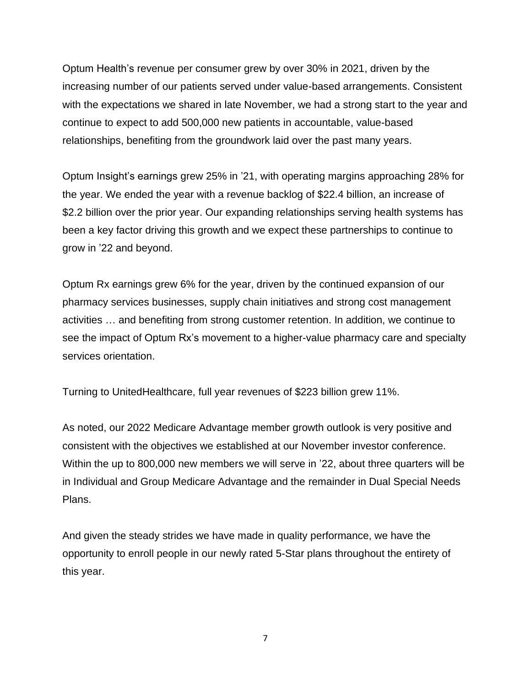Optum Health's revenue per consumer grew by over 30% in 2021, driven by the increasing number of our patients served under value-based arrangements. Consistent with the expectations we shared in late November, we had a strong start to the year and continue to expect to add 500,000 new patients in accountable, value-based relationships, benefiting from the groundwork laid over the past many years.

Optum Insight's earnings grew 25% in '21, with operating margins approaching 28% for the year. We ended the year with a revenue backlog of \$22.4 billion, an increase of \$2.2 billion over the prior year. Our expanding relationships serving health systems has been a key factor driving this growth and we expect these partnerships to continue to grow in '22 and beyond.

Optum Rx earnings grew 6% for the year, driven by the continued expansion of our pharmacy services businesses, supply chain initiatives and strong cost management activities … and benefiting from strong customer retention. In addition, we continue to see the impact of Optum Rx's movement to a higher-value pharmacy care and specialty services orientation.

Turning to UnitedHealthcare, full year revenues of \$223 billion grew 11%.

As noted, our 2022 Medicare Advantage member growth outlook is very positive and consistent with the objectives we established at our November investor conference. Within the up to 800,000 new members we will serve in '22, about three quarters will be in Individual and Group Medicare Advantage and the remainder in Dual Special Needs Plans.

And given the steady strides we have made in quality performance, we have the opportunity to enroll people in our newly rated 5-Star plans throughout the entirety of this year.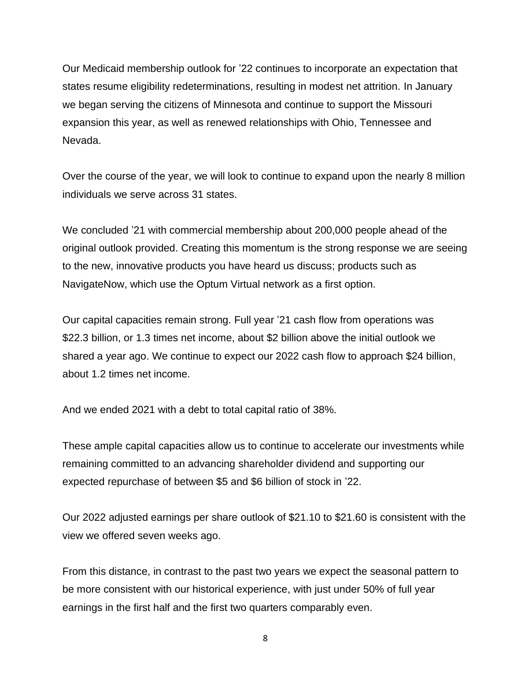Our Medicaid membership outlook for '22 continues to incorporate an expectation that states resume eligibility redeterminations, resulting in modest net attrition. In January we began serving the citizens of Minnesota and continue to support the Missouri expansion this year, as well as renewed relationships with Ohio, Tennessee and Nevada.

Over the course of the year, we will look to continue to expand upon the nearly 8 million individuals we serve across 31 states.

We concluded '21 with commercial membership about 200,000 people ahead of the original outlook provided. Creating this momentum is the strong response we are seeing to the new, innovative products you have heard us discuss; products such as NavigateNow, which use the Optum Virtual network as a first option.

Our capital capacities remain strong. Full year '21 cash flow from operations was \$22.3 billion, or 1.3 times net income, about \$2 billion above the initial outlook we shared a year ago. We continue to expect our 2022 cash flow to approach \$24 billion, about 1.2 times net income.

And we ended 2021 with a debt to total capital ratio of 38%.

These ample capital capacities allow us to continue to accelerate our investments while remaining committed to an advancing shareholder dividend and supporting our expected repurchase of between \$5 and \$6 billion of stock in '22.

Our 2022 adjusted earnings per share outlook of \$21.10 to \$21.60 is consistent with the view we offered seven weeks ago.

From this distance, in contrast to the past two years we expect the seasonal pattern to be more consistent with our historical experience, with just under 50% of full year earnings in the first half and the first two quarters comparably even.